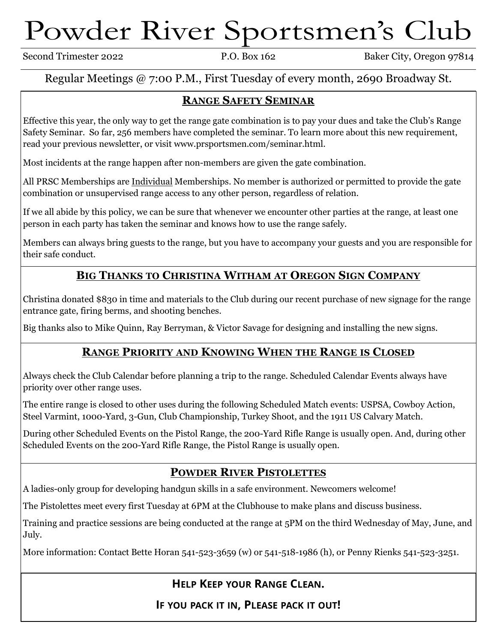# Powder River Sportsmen's Club

Second Trimester 2022 P.O. Box 162 Baker City, Oregon 97814

#### Regular Meetings @ 7:00 P.M., First Tuesday of every month, 2690 Broadway St.

#### **RANGE SAFETY SEMINAR**

Effective this year, the only way to get the range gate combination is to pay your dues and take the Club's Range Safety Seminar. So far, 256 members have completed the seminar. To learn more about this new requirement, read your previous newsletter, or visit www.prsportsmen.com/seminar.html.

Most incidents at the range happen after non-members are given the gate combination.

All PRSC Memberships are Individual Memberships. No member is authorized or permitted to provide the gate combination or unsupervised range access to any other person, regardless of relation.

If we all abide by this policy, we can be sure that whenever we encounter other parties at the range, at least one person in each party has taken the seminar and knows how to use the range safely.

Members can always bring guests to the range, but you have to accompany your guests and you are responsible for their safe conduct.

#### **BIG THANKS TO CHRISTINA WITHAM AT OREGON SIGN COMPANY**

Christina donated \$830 in time and materials to the Club during our recent purchase of new signage for the range entrance gate, firing berms, and shooting benches.

Big thanks also to Mike Quinn, Ray Berryman, & Victor Savage for designing and installing the new signs.

#### **RANGE PRIORITY AND KNOWING WHEN THE RANGE IS CLOSED**

Always check the Club Calendar before planning a trip to the range. Scheduled Calendar Events always have priority over other range uses.

The entire range is closed to other uses during the following Scheduled Match events: USPSA, Cowboy Action, Steel Varmint, 1000-Yard, 3-Gun, Club Championship, Turkey Shoot, and the 1911 US Calvary Match.

During other Scheduled Events on the Pistol Range, the 200-Yard Rifle Range is usually open. And, during other Scheduled Events on the 200-Yard Rifle Range, the Pistol Range is usually open.

#### **POWDER RIVER PISTOLETTES**

A ladies-only group for developing handgun skills in a safe environment. Newcomers welcome!

The Pistolettes meet every first Tuesday at 6PM at the Clubhouse to make plans and discuss business.

Training and practice sessions are being conducted at the range at 5PM on the third Wednesday of May, June, and July.

More information: Contact Bette Horan 541-523-3659 (w) or 541-518-1986 (h), or Penny Rienks 541-523-3251.

## **HELP KEEP YOUR RANGE CLEAN.**

**IF YOU PACK IT IN, PLEASE PACK IT OUT!**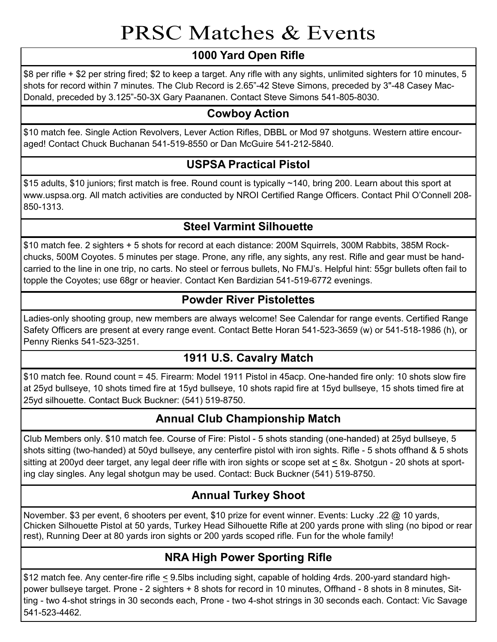# PRSC Matches & Events

## **1000 Yard Open Rifle**

\$8 per rifle + \$2 per string fired; \$2 to keep a target. Any rifle with any sights, unlimited sighters for 10 minutes, 5 shots for record within 7 minutes. The Club Record is 2.65"-42 Steve Simons, preceded by 3"-48 Casey Mac-Donald, preceded by 3.125"-50-3X Gary Paananen. Contact Steve Simons 541-805-8030.

## **Cowboy Action**

\$10 match fee. Single Action Revolvers, Lever Action Rifles, DBBL or Mod 97 shotguns. Western attire encouraged! Contact Chuck Buchanan 541-519-8550 or Dan McGuire 541-212-5840.

### **USPSA Practical Pistol**

\$15 adults, \$10 juniors; first match is free. Round count is typically ~140, bring 200. Learn about this sport at www.uspsa.org. All match activities are conducted by NROI Certified Range Officers. Contact Phil O'Connell 208- 850-1313.

## **Steel Varmint Silhouette**

\$10 match fee. 2 sighters + 5 shots for record at each distance: 200M Squirrels, 300M Rabbits, 385M Rockchucks, 500M Coyotes. 5 minutes per stage. Prone, any rifle, any sights, any rest. Rifle and gear must be handcarried to the line in one trip, no carts. No steel or ferrous bullets, No FMJ's. Helpful hint: 55gr bullets often fail to topple the Coyotes; use 68gr or heavier. Contact Ken Bardizian 541-519-6772 evenings.

#### **Powder River Pistolettes**

Ladies-only shooting group, new members are always welcome! See Calendar for range events. Certified Range Safety Officers are present at every range event. Contact Bette Horan 541-523-3659 (w) or 541-518-1986 (h), or Penny Rienks 541-523-3251.

#### **1911 U.S. Cavalry Match**

\$10 match fee. Round count = 45. Firearm: Model 1911 Pistol in 45acp. One-handed fire only: 10 shots slow fire at 25yd bullseye, 10 shots timed fire at 15yd bullseye, 10 shots rapid fire at 15yd bullseye, 15 shots timed fire at 25yd silhouette. Contact Buck Buckner: (541) 519-8750.

## **Annual Club Championship Match**

Club Members only. \$10 match fee. Course of Fire: Pistol - 5 shots standing (one-handed) at 25yd bullseye, 5 shots sitting (two-handed) at 50yd bullseye, any centerfire pistol with iron sights. Rifle - 5 shots offhand & 5 shots sitting at 200yd deer target, any legal deer rifle with iron sights or scope set at < 8x. Shotgun - 20 shots at sporting clay singles. Any legal shotgun may be used. Contact: Buck Buckner (541) 519-8750.

## **Annual Turkey Shoot**

November. \$3 per event, 6 shooters per event, \$10 prize for event winner. Events: Lucky .22 @ 10 yards, Chicken Silhouette Pistol at 50 yards, Turkey Head Silhouette Rifle at 200 yards prone with sling (no bipod or rear rest), Running Deer at 80 yards iron sights or 200 yards scoped rifle. Fun for the whole family!

# **NRA High Power Sporting Rifle**

\$12 match fee. Any center-fire rifle < 9.5lbs including sight, capable of holding 4rds. 200-yard standard highpower bullseye target. Prone - 2 sighters + 8 shots for record in 10 minutes, Offhand - 8 shots in 8 minutes, Sitting - two 4-shot strings in 30 seconds each, Prone - two 4-shot strings in 30 seconds each. Contact: Vic Savage 541-523-4462.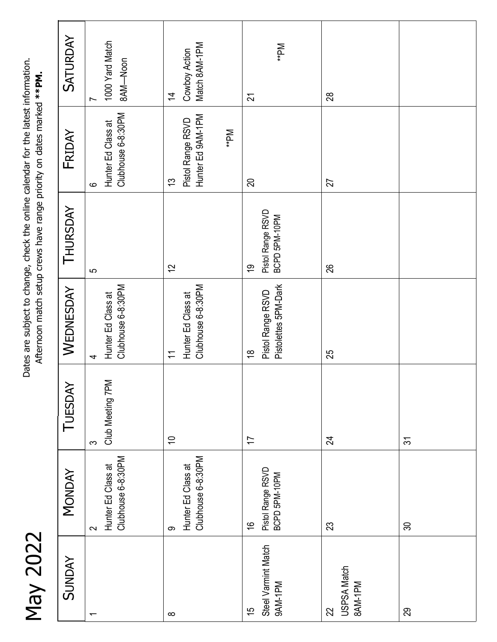May 2022

Dates are subject to change, check the online calendar for the latest information. Dates are subject to change, check the online calendar for the latest information. Afternoon match setup crews have range priority on dates marked \*\*PM. Afternoon match setup crews have range priority on dates marked **\*\*PM.**

| <b>SATURDAY</b> | 1000 Yard Match<br>8AM-Noon<br>$\overline{ }$       | Match 8AM-1PM<br>Cowboy Action<br>$\overline{4}$                     | **PM<br>$\overline{2}$                                      | 28                                  |                |
|-----------------|-----------------------------------------------------|----------------------------------------------------------------------|-------------------------------------------------------------|-------------------------------------|----------------|
| FRIDAY          | Clubhouse 6-8:30PM<br>Hunter Ed Class at<br>$\circ$ | Hunter Ed 9AM-1PM<br>Pistol Range RSVD<br><b>Md</b> **<br>13         | 20                                                          | 27                                  |                |
| THURSDAY        | 5                                                   | $\overline{2}$                                                       | Pistol Range RSVD<br>BCPD 5PM-10PM<br>$\overline{6}$        | 26                                  |                |
| WEDNESDAY       | Clubhouse 6-8:30PM<br>Hunter Ed Class at<br>4       | Clubhouse 6-8:30PM<br>Hunter Ed Class at<br>$\overline{\mathcal{L}}$ | Pistolettes 5PM-Dark<br>Pistol Range RSVD<br>$\frac{8}{10}$ | 25                                  |                |
| TUESDAY         | Club Meeting 7PM<br>$\infty$                        | $\rightleftharpoons$                                                 | $\overline{1}$                                              | $\mathfrak{A}$                      | $\overline{5}$ |
| <b>MONDAY</b>   | Clubhouse 6-8:30PM<br>Hunter Ed Class at<br>$\sim$  | Clubhouse 6-8:30PM<br>Hunter Ed Class at<br>တ                        | Pistol Range RSVD<br>BCPD 5PM-10PM<br>$\frac{6}{5}$         | 23                                  | $\infty$       |
| <b>SUNDAY</b>   | $\overline{\phantom{0}}$                            | $\infty$                                                             | Steel Varmint Match<br>9AM-1PM<br>$\frac{5}{3}$             | <b>USPSA Match</b><br>BAM-1PM<br>22 | 29             |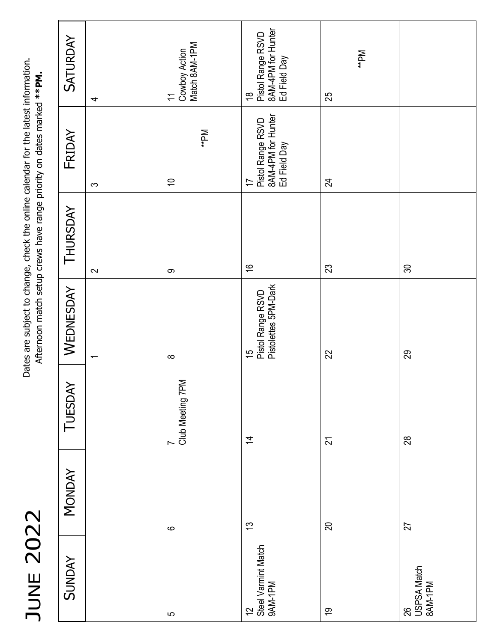| $\blacktriangleleft$<br>C |  |
|---------------------------|--|
| √<br>ſ                    |  |
| $\mathbb{C}^{\mathbb{C}}$ |  |
| $\mathbf{\Omega}$         |  |
| Ш                         |  |
|                           |  |
|                           |  |
|                           |  |

Dates are subject to change, check the online calendar for the latest information. Dates are subject to change, check the online calendar for the latest information.<br>Afternoon match setup crews have range priority on dates marked \*\*PM. Afternoon match setup crews have range priority on dates marked **\*\*PM.**

| <b>SATURDAY</b> | 4                        | Cowboy Action<br>Match 8AM-1PM<br>$\overline{\mathcal{L}}$ | Pistol Range RSVD<br>8AM-4PM for Hunter<br>Ed Field Day<br>$\frac{8}{1}$  | **PM<br>25     |                              |
|-----------------|--------------------------|------------------------------------------------------------|---------------------------------------------------------------------------|----------------|------------------------------|
| FRIDAY          | $\infty$                 | <b>Md</b> **<br>$\overline{C}$                             | Pistol Range RSVD<br>8AM-4PM for Hunter<br>Ed Field Day<br>$\overline{1}$ | 24             |                              |
| THURSDAY        | $\sim$                   | တ                                                          | $\frac{8}{1}$                                                             | 23             | $\infty$                     |
| WEDNESDAY       | $\overline{\phantom{0}}$ | $\infty$                                                   | Pistolettes 5PM-Dark<br>Pistol Range RSVD<br>15                           | 22             | 29                           |
| TUESDAY         |                          | 7<br>Club Meeting 7PM                                      | $\overline{4}$                                                            | $\overline{2}$ | 28                           |
| <b>MONDAY</b>   |                          | $\mathbf{\circ}$                                           | $\tilde{\mathfrak{c}}$                                                    | 20             | 27                           |
| <b>SUNDAY</b>   |                          | $\mathbf{\Omega}$                                          | Steel Varmint Match<br>9AM-1PM<br>$\overline{c}$                          | $\overline{6}$ | 26<br>USPSA Match<br>8AM-1PM |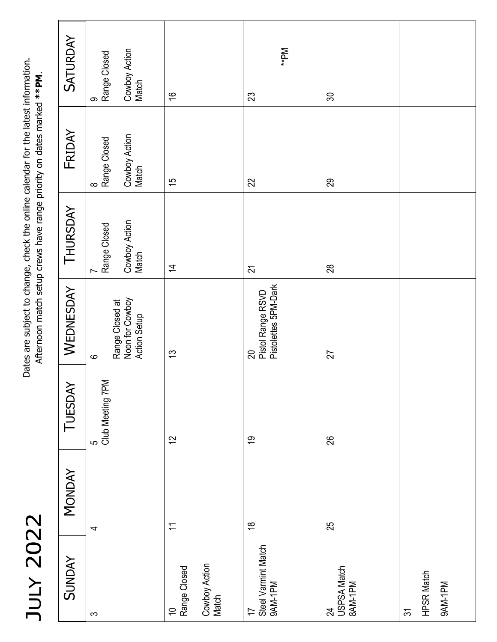| (      | J                             |
|--------|-------------------------------|
| (      | I                             |
| ŗ<br>ı |                               |
| l<br>r | ۱<br>$\overline{\phantom{0}}$ |
|        |                               |
|        |                               |
|        |                               |

Dates are subject to change, check the online calendar for the latest information. Dates are subject to change, check the online calendar for the latest information.<br>Afternoon match setup crews have range priority on dates marked \*\*PM. Afternoon match setup crews have range priority on dates marked **\*\*PM**.

| <b>SUNDAY</b>                                            | <b>MONDAY</b>            | TUESDAY                 | WEDNESDAY                                                     | THURSDAY                                    | FRIDAY                                      | <b>SATURDAY</b>                             |
|----------------------------------------------------------|--------------------------|-------------------------|---------------------------------------------------------------|---------------------------------------------|---------------------------------------------|---------------------------------------------|
| $\infty$                                                 | 4                        | 5<br>  Club Meeting 7PM | Range Closed at<br>Noon for Cowboy<br>Action Setup<br>$\circ$ | Cowboy Action<br>Match<br>Range Closed<br>Ľ | Cowboy Action<br>8<br>Range Closed<br>Match | Cowboy Action<br>Range Closed<br>Match<br>ၜ |
| Cowboy Action<br>Match<br>10<br>  Range Closed           | $\overline{\mathcal{L}}$ | 12                      | $\frac{3}{2}$                                                 | $\overline{4}$                              | 15                                          | $\frac{6}{1}$                               |
| Steel Varmint Match<br>9AM-1PM<br>$\overline{1}$         | $\frac{8}{1}$            | <u>ღ</u>                | Pistolettes 5PM-Dark<br>Pistol Range RSVD<br>20               | $\overline{2}$                              | 22                                          | **PM<br>23                                  |
| USPSA Match<br>8AM-1PM<br>$\overline{24}$                | 25                       | 26                      | 27                                                            | 28                                          | 29                                          | 30                                          |
| <b>HPSR Match</b><br>9AM-1PM<br>$\overline{\mathcal{E}}$ |                          |                         |                                                               |                                             |                                             |                                             |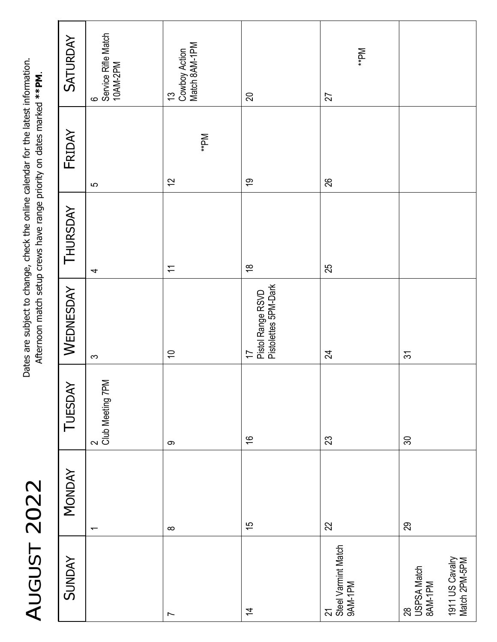AUGUST 2022 AUGUST 2022

Dates are subject to change, check the online calendar for the latest information. Dates are subject to change, check the online calendar for the latest information. Afternoon match setup crews have range priority on dates marked **\*\*PM**. Afternoon match setup crews have range priority on dates marked \*\*PM.

| <b>SATURDAY</b> | 6<br>Service Rifle Match<br>10AM-2PM | Match 8AM-1PM<br>13<br>Cowboy Action | 20                                              | **PM<br>27                               |                                                                  |
|-----------------|--------------------------------------|--------------------------------------|-------------------------------------------------|------------------------------------------|------------------------------------------------------------------|
| FRIDAY          | S                                    | <b>Md</b> **<br>$\overline{c}$       | $\overline{6}$                                  | 26                                       |                                                                  |
| THURSDAY        | $\overline{\mathcal{A}}$             | $\overline{\overline{1}}$            | $\overset{\infty}{\leftarrow}$                  | 25                                       |                                                                  |
| WEDNESDAY       | $\infty$                             | $\overline{c}$                       | 17<br>Pistol Range RSVD<br>Pistolettes 5PM-Dark | 24                                       | $\tilde{\mathcal{E}}$                                            |
| TUESDAY         | 2<br>Club Meeting 7PM                | $\infty$                             | $\frac{1}{2}$                                   | 23                                       | $\infty$                                                         |
| <b>MONDAY</b>   | $\overline{\phantom{0}}$             | $\infty$                             | $\frac{5}{3}$                                   | 22                                       | 29                                                               |
| <b>SUNDAY</b>   |                                      | $\overline{ }$                       | $\overline{4}$                                  | 21<br>  Steel Varmint Match<br>  9AM-1PM | 1911 US Cavalry<br>Match 2PM-5PM<br>28<br>USPSA Match<br>8AM-1PM |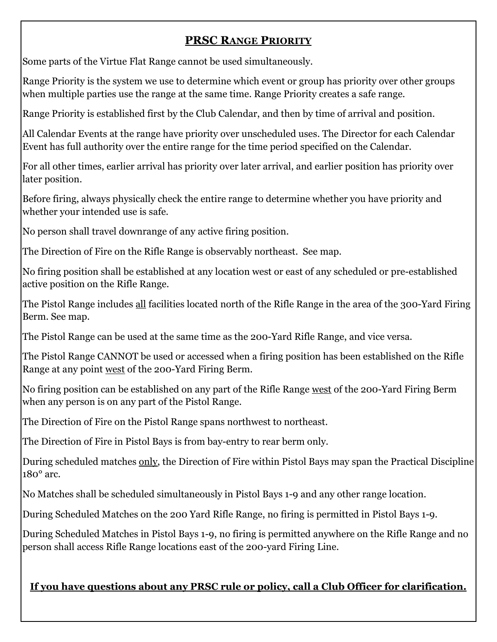#### **PRSC RANGE PRIORITY**

Some parts of the Virtue Flat Range cannot be used simultaneously.

Range Priority is the system we use to determine which event or group has priority over other groups when multiple parties use the range at the same time. Range Priority creates a safe range.

Range Priority is established first by the Club Calendar, and then by time of arrival and position.

All Calendar Events at the range have priority over unscheduled uses. The Director for each Calendar Event has full authority over the entire range for the time period specified on the Calendar.

For all other times, earlier arrival has priority over later arrival, and earlier position has priority over later position.

Before firing, always physically check the entire range to determine whether you have priority and whether your intended use is safe.

No person shall travel downrange of any active firing position.

The Direction of Fire on the Rifle Range is observably northeast. See map.

No firing position shall be established at any location west or east of any scheduled or pre-established active position on the Rifle Range.

The Pistol Range includes all facilities located north of the Rifle Range in the area of the 300-Yard Firing Berm. See map.

The Pistol Range can be used at the same time as the 200-Yard Rifle Range, and vice versa.

The Pistol Range CANNOT be used or accessed when a firing position has been established on the Rifle Range at any point west of the 200-Yard Firing Berm.

No firing position can be established on any part of the Rifle Range west of the 200-Yard Firing Berm when any person is on any part of the Pistol Range.

The Direction of Fire on the Pistol Range spans northwest to northeast.

The Direction of Fire in Pistol Bays is from bay-entry to rear berm only.

During scheduled matches only, the Direction of Fire within Pistol Bays may span the Practical Discipline 180° arc.

No Matches shall be scheduled simultaneously in Pistol Bays 1-9 and any other range location.

During Scheduled Matches on the 200 Yard Rifle Range, no firing is permitted in Pistol Bays 1-9.

During Scheduled Matches in Pistol Bays 1-9, no firing is permitted anywhere on the Rifle Range and no person shall access Rifle Range locations east of the 200-yard Firing Line.

#### **If you have questions about any PRSC rule or policy, call a Club Officer for clarification.**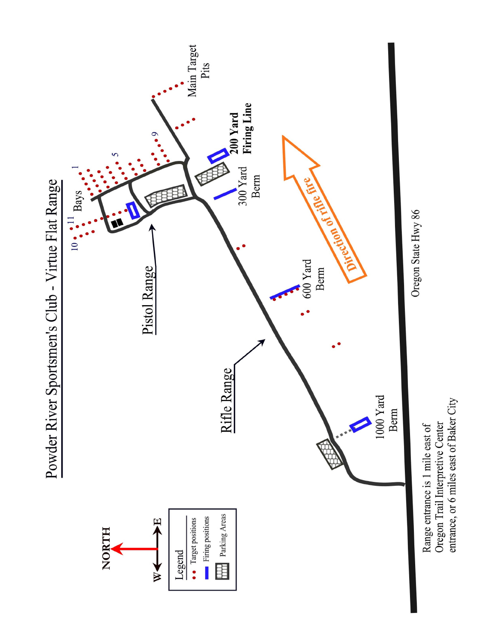

entrance, or 6 miles east of Baker City Oregon Trail Interpretive Center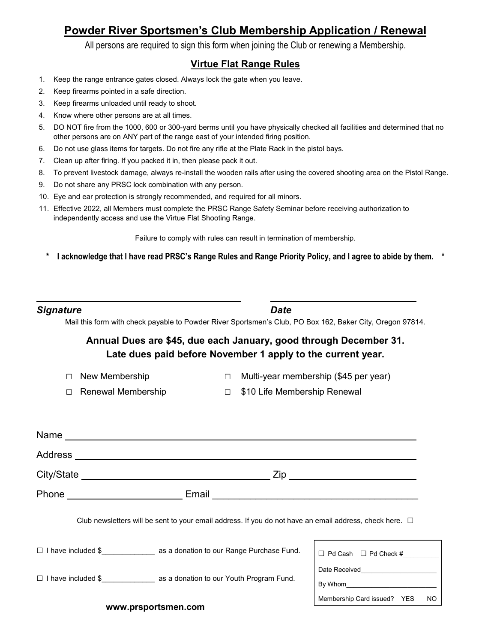#### **Powder River Sportsmen's Club Membership Application / Renewal**

All persons are required to sign this form when joining the Club or renewing a Membership.

#### **Virtue Flat Range Rules**

- 1. Keep the range entrance gates closed. Always lock the gate when you leave.
- 2. Keep firearms pointed in a safe direction.
- 3. Keep firearms unloaded until ready to shoot.
- 4. Know where other persons are at all times.
- 5. DO NOT fire from the 1000, 600 or 300-yard berms until you have physically checked all facilities and determined that no other persons are on ANY part of the range east of your intended firing position.
- 6. Do not use glass items for targets. Do not fire any rifle at the Plate Rack in the pistol bays.
- 7. Clean up after firing. If you packed it in, then please pack it out.
- 8. To prevent livestock damage, always re-install the wooden rails after using the covered shooting area on the Pistol Range.
- 9. Do not share any PRSC lock combination with any person.
- 10. Eye and ear protection is strongly recommended, and required for all minors.
- 11. Effective 2022, all Members must complete the PRSC Range Safety Seminar before receiving authorization to independently access and use the Virtue Flat Shooting Range.

Failure to comply with rules can result in termination of membership.

**\* I acknowledge that I have read PRSC's Range Rules and Range Priority Policy, and I agree to abide by them. \*** 

| <b>Signature</b> | <b>Date</b> |
|------------------|-------------|
|                  |             |

 $\overline{a}$ 

Mail this form with check payable to Powder River Sportsmen's Club, PO Box 162, Baker City, Oregon 97814.

#### **Annual Dues are \$45, due each January, good through December 31. Late dues paid before November 1 apply to the current year.**

- 
- □ New Membership □ Multi-year membership (\$45 per year)

Membership Card issued? YES NO

- □ Renewal Membership □ \$10 Life Membership Renewal
- 

| Address |                                                                                                              |                                                               |
|---------|--------------------------------------------------------------------------------------------------------------|---------------------------------------------------------------|
|         |                                                                                                              | _ Zip ___________________________                             |
|         |                                                                                                              |                                                               |
|         | Club newsletters will be sent to your email address. If you do not have an email address, check here. $\Box$ |                                                               |
| $\Box$  | I have included \$ as a donation to our Range Purchase Fund.                                                 | $\Box$ Pd Cash $\Box$ Pd Check #                              |
| П.      | I have included \$ as a donation to our Youth Program Fund.                                                  | Date Received<br><u>Date</u> Received <sub>2</sub><br>By Whom |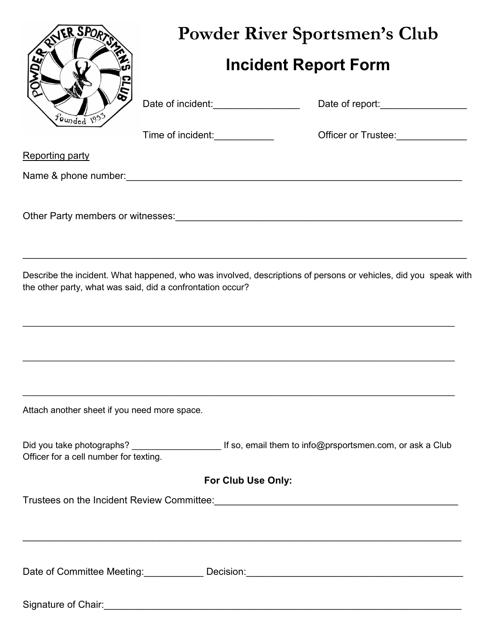| R SPORT                                      | <b>Powder River Sportsmen's Club</b>                       |                                                                                                                     |  |  |  |
|----------------------------------------------|------------------------------------------------------------|---------------------------------------------------------------------------------------------------------------------|--|--|--|
|                                              | <b>Incident Report Form</b>                                |                                                                                                                     |  |  |  |
| ounded 1953                                  | Date of incident:__________________                        | Date of report:___________________                                                                                  |  |  |  |
|                                              | Time of incident:_____________                             | Officer or Trustee:<br><u> </u>                                                                                     |  |  |  |
| <b>Reporting party</b>                       |                                                            |                                                                                                                     |  |  |  |
|                                              |                                                            |                                                                                                                     |  |  |  |
|                                              |                                                            |                                                                                                                     |  |  |  |
|                                              | the other party, what was said, did a confrontation occur? | Describe the incident. What happened, who was involved, descriptions of persons or vehicles, did you speak with     |  |  |  |
| Attach another sheet if you need more space. |                                                            |                                                                                                                     |  |  |  |
| Officer for a cell number for texting.       |                                                            | Did you take photographs? _________________________________If so, email them to info@prsportsmen.com, or ask a Club |  |  |  |
|                                              | For Club Use Only:                                         |                                                                                                                     |  |  |  |
|                                              |                                                            | ,我们也不能在这里的人,我们也不能在这里的人,我们也不能不能不能不能不能不能不能不能不能不能不能。""我们的人,我们也不能不能不能不能不能不能不能不能不能不能不                                    |  |  |  |
|                                              |                                                            | Date of Committee Meeting: ____________ Decision: _______________________________                                   |  |  |  |
|                                              |                                                            |                                                                                                                     |  |  |  |